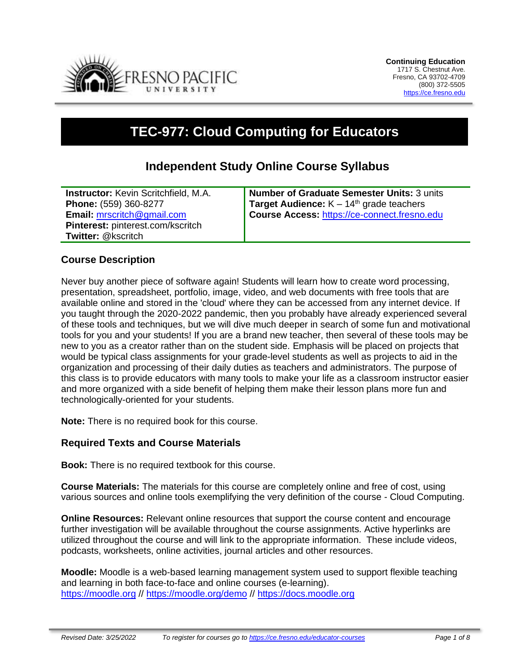

# **TEC-977: Cloud Computing for Educators**

## **Independent Study Online Course Syllabus**

| <b>Instructor:</b> Kevin Scritchfield, M.A. | <b>Number of Graduate Semester Units: 3 units</b> |
|---------------------------------------------|---------------------------------------------------|
| Phone: (559) 360-8277                       | <b>Target Audience:</b> $K - 14th$ grade teachers |
| <b>Email: mrscritch@gmail.com</b>           | Course Access: https://ce-connect.fresno.edu      |
| <b>Pinterest:</b> pinterest.com/kscritch    |                                                   |
| <b>Twitter: @kscritch</b>                   |                                                   |

#### **Course Description**

Never buy another piece of software again! Students will learn how to create word processing, presentation, spreadsheet, portfolio, image, video, and web documents with free tools that are available online and stored in the 'cloud' where they can be accessed from any internet device. If you taught through the 2020-2022 pandemic, then you probably have already experienced several of these tools and techniques, but we will dive much deeper in search of some fun and motivational tools for you and your students! If you are a brand new teacher, then several of these tools may be new to you as a creator rather than on the student side. Emphasis will be placed on projects that would be typical class assignments for your grade-level students as well as projects to aid in the organization and processing of their daily duties as teachers and administrators. The purpose of this class is to provide educators with many tools to make your life as a classroom instructor easier and more organized with a side benefit of helping them make their lesson plans more fun and technologically-oriented for your students.

**Note:** There is no required book for this course.

#### **Required Texts and Course Materials**

**Book:** There is no required textbook for this course.

**Course Materials:** The materials for this course are completely online and free of cost, using various sources and online tools exemplifying the very definition of the course - Cloud Computing.

**Online Resources:** Relevant online resources that support the course content and encourage further investigation will be available throughout the course assignments. Active hyperlinks are utilized throughout the course and will link to the appropriate information. These include videos, podcasts, worksheets, online activities, journal articles and other resources.

**Moodle:** Moodle is a web-based learning management system used to support flexible teaching and learning in both face-to-face and online courses (e-learning). [https://moodle.org](https://moodle.org/) // <https://moodle.org/demo> // [https://docs.moodle.org](https://docs.moodle.org/)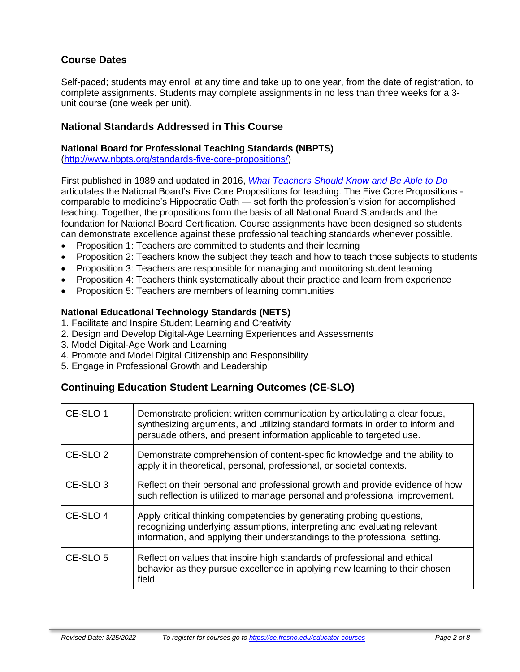### **Course Dates**

Self-paced; students may enroll at any time and take up to one year, from the date of registration, to complete assignments. Students may complete assignments in no less than three weeks for a 3 unit course (one week per unit).

#### **National Standards Addressed in This Course**

#### **National Board for Professional Teaching Standards (NBPTS)**

[\(http://www.nbpts.org/standards-five-core-propositions/\)](http://www.nbpts.org/standards-five-core-propositions/)

First published in 1989 and updated in 2016, *[What Teachers Should Know and Be Able to Do](http://www.accomplishedteacher.org/)* articulates the National Board's Five Core Propositions for teaching. The Five Core Propositions comparable to medicine's Hippocratic Oath — set forth the profession's vision for accomplished teaching. Together, the propositions form the basis of all National Board Standards and the foundation for National Board Certification. Course assignments have been designed so students can demonstrate excellence against these professional teaching standards whenever possible.

- Proposition 1: Teachers are committed to students and their learning
- Proposition 2: Teachers know the subject they teach and how to teach those subjects to students
- Proposition 3: Teachers are responsible for managing and monitoring student learning
- Proposition 4: Teachers think systematically about their practice and learn from experience
- Proposition 5: Teachers are members of learning communities

#### **National Educational Technology Standards (NETS)**

- 1. Facilitate and Inspire Student Learning and Creativity
- 2. Design and Develop Digital-Age Learning Experiences and Assessments
- 3. Model Digital-Age Work and Learning
- 4. Promote and Model Digital Citizenship and Responsibility
- 5. Engage in Professional Growth and Leadership

### **Continuing Education Student Learning Outcomes (CE-SLO)**

| CE-SLO 1            | Demonstrate proficient written communication by articulating a clear focus,<br>synthesizing arguments, and utilizing standard formats in order to inform and<br>persuade others, and present information applicable to targeted use. |
|---------------------|--------------------------------------------------------------------------------------------------------------------------------------------------------------------------------------------------------------------------------------|
| CE-SLO <sub>2</sub> | Demonstrate comprehension of content-specific knowledge and the ability to<br>apply it in theoretical, personal, professional, or societal contexts.                                                                                 |
| CE-SLO <sub>3</sub> | Reflect on their personal and professional growth and provide evidence of how<br>such reflection is utilized to manage personal and professional improvement.                                                                        |
| CE-SLO 4            | Apply critical thinking competencies by generating probing questions,<br>recognizing underlying assumptions, interpreting and evaluating relevant<br>information, and applying their understandings to the professional setting.     |
| CE-SLO <sub>5</sub> | Reflect on values that inspire high standards of professional and ethical<br>behavior as they pursue excellence in applying new learning to their chosen<br>field.                                                                   |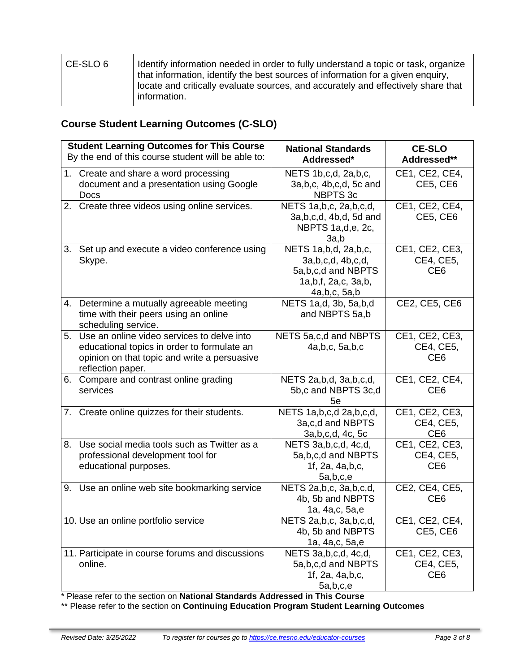| l CE-SLO 6 | I Identify information needed in order to fully understand a topic or task, organize<br>that information, identify the best sources of information for a given enguiry, |
|------------|-------------------------------------------------------------------------------------------------------------------------------------------------------------------------|
|            | locate and critically evaluate sources, and accurately and effectively share that<br>information.                                                                       |

# **Course Student Learning Outcomes (C-SLO)**

|    | <b>Student Learning Outcomes for This Course</b>                                                                                                                  | <b>National Standards</b>                                                                                       | <b>CE-SLO</b>                                  |
|----|-------------------------------------------------------------------------------------------------------------------------------------------------------------------|-----------------------------------------------------------------------------------------------------------------|------------------------------------------------|
|    | By the end of this course student will be able to:                                                                                                                | Addressed*                                                                                                      | Addressed**                                    |
|    | 1. Create and share a word processing<br>document and a presentation using Google                                                                                 | NETS 1b, c, d, 2a, b, c,<br>3a, b, c, 4b, c, d, 5c and                                                          | CE1, CE2, CE4,<br>CE5, CE6                     |
|    | Docs                                                                                                                                                              | NBPTS 3c                                                                                                        |                                                |
|    | 2. Create three videos using online services.                                                                                                                     | NETS 1a, b, c, 2a, b, c, d,<br>3a, b, c, d, 4b, d, 5d and<br>NBPTS 1a,d,e, 2c,<br>3a,b                          | CE1, CE2, CE4,<br>CE5, CE6                     |
|    | 3. Set up and execute a video conference using<br>Skype.                                                                                                          | NETS 1a, b, d, 2a, b, c,<br>3a, b, c, d, 4b, c, d,<br>5a,b,c,d and NBPTS<br>1a,b,f, 2a,c, 3a,b,<br>4a,b,c, 5a,b | CE1, CE2, CE3,<br>CE4, CE5,<br>CE <sub>6</sub> |
|    | 4. Determine a mutually agreeable meeting<br>time with their peers using an online<br>scheduling service.                                                         | NETS 1a,d, 3b, 5a,b,d<br>and NBPTS 5a,b                                                                         | CE2, CE5, CE6                                  |
|    | 5. Use an online video services to delve into<br>educational topics in order to formulate an<br>opinion on that topic and write a persuasive<br>reflection paper. | NETS 5a, c, d and NBPTS<br>4a, b, c, 5a, b, c                                                                   | CE1, CE2, CE3,<br>CE4, CE5,<br>CE <sub>6</sub> |
| 6. | Compare and contrast online grading<br>services                                                                                                                   | NETS 2a, b, d, 3a, b, c, d,<br>5b,c and NBPTS 3c,d<br>5e                                                        | CE1, CE2, CE4,<br>CE <sub>6</sub>              |
|    | 7. Create online quizzes for their students.                                                                                                                      | NETS 1a, b, c, d 2a, b, c, d,<br>3a,c,d and NBPTS<br>3a, b, c, d, 4c, 5c                                        | CE1, CE2, CE3,<br>CE4, CE5,<br>CE <sub>6</sub> |
| 8. | Use social media tools such as Twitter as a<br>professional development tool for<br>educational purposes.                                                         | NETS 3a, b, c, d, 4c, d,<br>5a, b, c, d and NBPTS<br>1f, 2a, 4a,b,c,<br>5a,b,c,e                                | CE1, CE2, CE3,<br>CE4, CE5,<br>CE <sub>6</sub> |
|    | 9. Use an online web site bookmarking service                                                                                                                     | NETS 2a, b, c, 3a, b, c, d,<br>4b, 5b and NBPTS<br>1a, 4a, c, 5a, e                                             | CE2, CE4, CE5,<br>CE <sub>6</sub>              |
|    | 10. Use an online portfolio service                                                                                                                               | NETS 2a, b, c, 3a, b, c, d,<br>4b, 5b and NBPTS<br>1a, 4a, c, 5a, e                                             | CE1, CE2, CE4,<br>CE5, CE6                     |
|    | 11. Participate in course forums and discussions<br>online.                                                                                                       | NETS 3a, b, c, d, 4c, d,<br>5a, b, c, d and NBPTS<br>1f, 2a, 4a, b, c,<br>5a,b,c,e                              | CE1, CE2, CE3,<br>CE4, CE5,<br>CE <sub>6</sub> |

\* Please refer to the section on **National Standards Addressed in This Course**

\*\* Please refer to the section on **Continuing Education Program Student Learning Outcomes**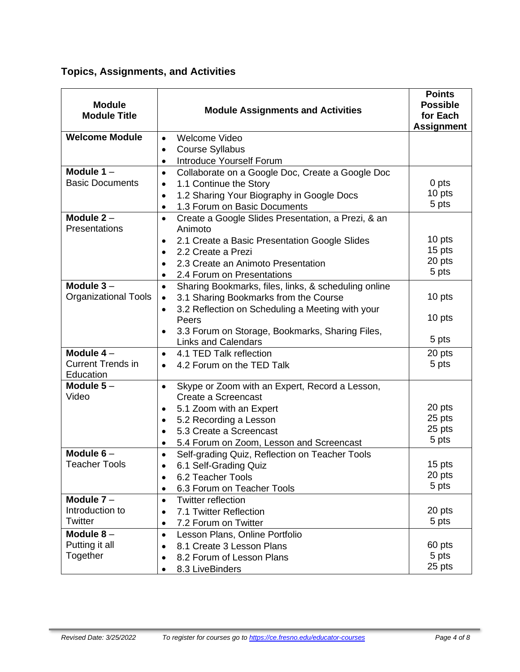# **Topics, Assignments, and Activities**

| <b>Module</b><br><b>Module Title</b> | <b>Module Assignments and Activities</b>                                   | <b>Points</b><br><b>Possible</b><br>for Each<br><b>Assignment</b> |
|--------------------------------------|----------------------------------------------------------------------------|-------------------------------------------------------------------|
| <b>Welcome Module</b>                | Welcome Video<br>$\bullet$                                                 |                                                                   |
|                                      | <b>Course Syllabus</b><br>$\bullet$                                        |                                                                   |
|                                      | Introduce Yourself Forum<br>$\bullet$                                      |                                                                   |
| Module $1 -$                         | Collaborate on a Google Doc, Create a Google Doc<br>$\bullet$              |                                                                   |
| <b>Basic Documents</b>               | 1.1 Continue the Story<br>$\bullet$                                        | 0 pts                                                             |
|                                      | 1.2 Sharing Your Biography in Google Docs<br>$\bullet$                     | 10 pts                                                            |
|                                      | 1.3 Forum on Basic Documents<br>$\bullet$                                  | 5 pts                                                             |
| Module $2 -$<br>Presentations        | Create a Google Slides Presentation, a Prezi, & an<br>$\bullet$<br>Animoto |                                                                   |
|                                      | 2.1 Create a Basic Presentation Google Slides<br>$\bullet$                 | 10 pts                                                            |
|                                      | 2.2 Create a Prezi                                                         | 15 pts                                                            |
|                                      | 2.3 Create an Animoto Presentation                                         | 20 pts                                                            |
|                                      | 2.4 Forum on Presentations                                                 | 5 pts                                                             |
| Module $3-$                          | Sharing Bookmarks, files, links, & scheduling online<br>$\bullet$          |                                                                   |
| <b>Organizational Tools</b>          | 3.1 Sharing Bookmarks from the Course                                      | 10 pts                                                            |
|                                      | 3.2 Reflection on Scheduling a Meeting with your<br>$\bullet$<br>Peers     | 10 pts                                                            |
|                                      | 3.3 Forum on Storage, Bookmarks, Sharing Files,                            |                                                                   |
|                                      | <b>Links and Calendars</b>                                                 | 5 pts                                                             |
| Module $4-$                          | 4.1 TED Talk reflection<br>$\bullet$                                       | 20 pts                                                            |
| <b>Current Trends in</b>             | 4.2 Forum on the TED Talk<br>$\bullet$                                     | 5 pts                                                             |
| Education                            |                                                                            |                                                                   |
| Module $5-$                          | Skype or Zoom with an Expert, Record a Lesson,<br>$\bullet$                |                                                                   |
| Video                                | Create a Screencast                                                        |                                                                   |
|                                      | 5.1 Zoom with an Expert                                                    | 20 pts<br>25 pts                                                  |
|                                      | 5.2 Recording a Lesson                                                     | 25 pts                                                            |
|                                      | 5.3 Create a Screencast                                                    | 5 pts                                                             |
| Module $6-$                          | 5.4 Forum on Zoom, Lesson and Screencast<br>$\bullet$                      |                                                                   |
| <b>Teacher Tools</b>                 | Self-grading Quiz, Reflection on Teacher Tools<br>٠                        | 15 pts                                                            |
|                                      | 6.1 Self-Grading Quiz<br>6.2 Teacher Tools                                 | 20 pts                                                            |
|                                      | $\bullet$<br>6.3 Forum on Teacher Tools<br>$\bullet$                       | 5 pts                                                             |
| Module $7 -$                         | <b>Twitter reflection</b><br>$\bullet$                                     |                                                                   |
| Introduction to                      | 7.1 Twitter Reflection                                                     | 20 pts                                                            |
| Twitter                              | 7.2 Forum on Twitter                                                       | 5 pts                                                             |
| Module $8-$                          | Lesson Plans, Online Portfolio<br>$\bullet$                                |                                                                   |
| Putting it all                       | 8.1 Create 3 Lesson Plans                                                  | 60 pts                                                            |
| Together                             | 8.2 Forum of Lesson Plans                                                  | 5 pts                                                             |
|                                      | 8.3 LiveBinders                                                            | 25 pts                                                            |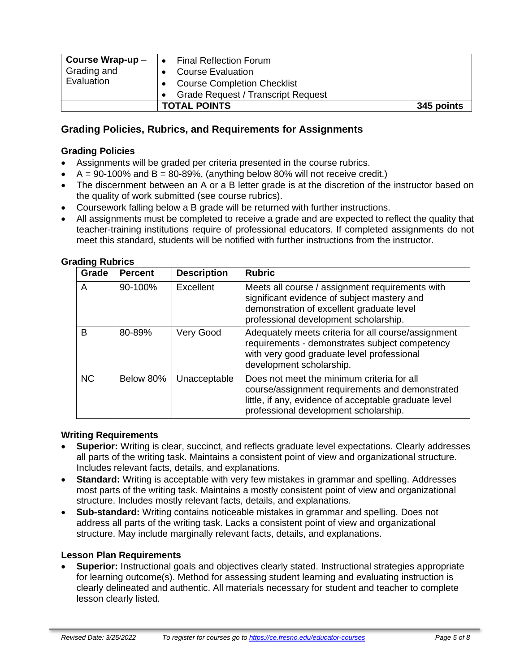| Course Wrap-up $-$<br>Grading and<br>Evaluation | <b>Final Reflection Forum</b><br><b>Course Evaluation</b><br><b>Course Completion Checklist</b><br><b>Grade Request / Transcript Request</b> |            |
|-------------------------------------------------|----------------------------------------------------------------------------------------------------------------------------------------------|------------|
|                                                 | <b>TOTAL POINTS</b>                                                                                                                          | 345 points |

### **Grading Policies, Rubrics, and Requirements for Assignments**

#### **Grading Policies**

- Assignments will be graded per criteria presented in the course rubrics.
- $A = 90-100\%$  and  $B = 80-89\%$ , (anything below 80% will not receive credit.)
- The discernment between an A or a B letter grade is at the discretion of the instructor based on the quality of work submitted (see course rubrics).
- Coursework falling below a B grade will be returned with further instructions.
- All assignments must be completed to receive a grade and are expected to reflect the quality that teacher-training institutions require of professional educators. If completed assignments do not meet this standard, students will be notified with further instructions from the instructor.

| Grade     | <b>Percent</b> | <b>Description</b> | <b>Rubric</b>                                                                                                                                                                                   |
|-----------|----------------|--------------------|-------------------------------------------------------------------------------------------------------------------------------------------------------------------------------------------------|
| A         | 90-100%        | Excellent          | Meets all course / assignment requirements with<br>significant evidence of subject mastery and<br>demonstration of excellent graduate level<br>professional development scholarship.            |
| B         | 80-89%         | Very Good          | Adequately meets criteria for all course/assignment<br>requirements - demonstrates subject competency<br>with very good graduate level professional<br>development scholarship.                 |
| <b>NC</b> | Below 80%      | Unacceptable       | Does not meet the minimum criteria for all<br>course/assignment requirements and demonstrated<br>little, if any, evidence of acceptable graduate level<br>professional development scholarship. |

#### **Grading Rubrics**

#### **Writing Requirements**

- **Superior:** Writing is clear, succinct, and reflects graduate level expectations. Clearly addresses all parts of the writing task. Maintains a consistent point of view and organizational structure. Includes relevant facts, details, and explanations.
- **Standard:** Writing is acceptable with very few mistakes in grammar and spelling. Addresses most parts of the writing task. Maintains a mostly consistent point of view and organizational structure. Includes mostly relevant facts, details, and explanations.
- **Sub-standard:** Writing contains noticeable mistakes in grammar and spelling. Does not address all parts of the writing task. Lacks a consistent point of view and organizational structure. May include marginally relevant facts, details, and explanations.

#### **Lesson Plan Requirements**

• **Superior:** Instructional goals and objectives clearly stated. Instructional strategies appropriate for learning outcome(s). Method for assessing student learning and evaluating instruction is clearly delineated and authentic. All materials necessary for student and teacher to complete lesson clearly listed.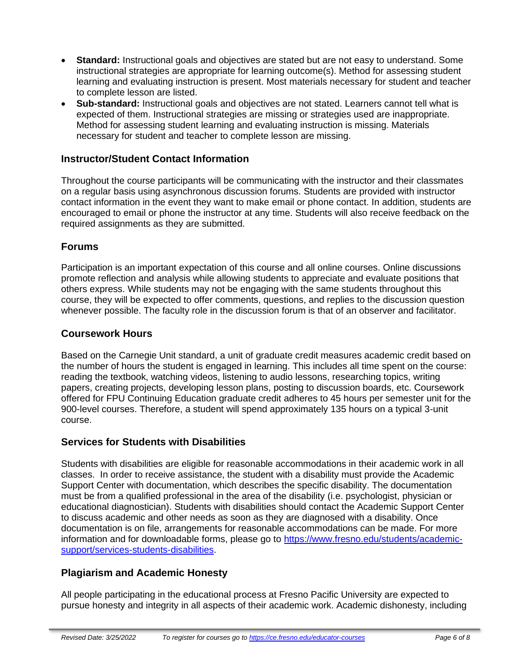- **Standard:** Instructional goals and objectives are stated but are not easy to understand. Some instructional strategies are appropriate for learning outcome(s). Method for assessing student learning and evaluating instruction is present. Most materials necessary for student and teacher to complete lesson are listed.
- **Sub-standard:** Instructional goals and objectives are not stated. Learners cannot tell what is expected of them. Instructional strategies are missing or strategies used are inappropriate. Method for assessing student learning and evaluating instruction is missing. Materials necessary for student and teacher to complete lesson are missing.

### **Instructor/Student Contact Information**

Throughout the course participants will be communicating with the instructor and their classmates on a regular basis using asynchronous discussion forums. Students are provided with instructor contact information in the event they want to make email or phone contact. In addition, students are encouraged to email or phone the instructor at any time. Students will also receive feedback on the required assignments as they are submitted.

### **Forums**

Participation is an important expectation of this course and all online courses. Online discussions promote reflection and analysis while allowing students to appreciate and evaluate positions that others express. While students may not be engaging with the same students throughout this course, they will be expected to offer comments, questions, and replies to the discussion question whenever possible. The faculty role in the discussion forum is that of an observer and facilitator.

#### **Coursework Hours**

Based on the Carnegie Unit standard, a unit of graduate credit measures academic credit based on the number of hours the student is engaged in learning. This includes all time spent on the course: reading the textbook, watching videos, listening to audio lessons, researching topics, writing papers, creating projects, developing lesson plans, posting to discussion boards, etc. Coursework offered for FPU Continuing Education graduate credit adheres to 45 hours per semester unit for the 900-level courses. Therefore, a student will spend approximately 135 hours on a typical 3-unit course.

### **Services for Students with Disabilities**

Students with disabilities are eligible for reasonable accommodations in their academic work in all classes. In order to receive assistance, the student with a disability must provide the Academic Support Center with documentation, which describes the specific disability. The documentation must be from a qualified professional in the area of the disability (i.e. psychologist, physician or educational diagnostician). Students with disabilities should contact the Academic Support Center to discuss academic and other needs as soon as they are diagnosed with a disability. Once documentation is on file, arrangements for reasonable accommodations can be made. For more information and for downloadable forms, please go to [https://www.fresno.edu/students/academic](https://www.fresno.edu/students/academic-support/services-students-disabilities)[support/services-students-disabilities.](https://www.fresno.edu/students/academic-support/services-students-disabilities)

### **Plagiarism and Academic Honesty**

All people participating in the educational process at Fresno Pacific University are expected to pursue honesty and integrity in all aspects of their academic work. Academic dishonesty, including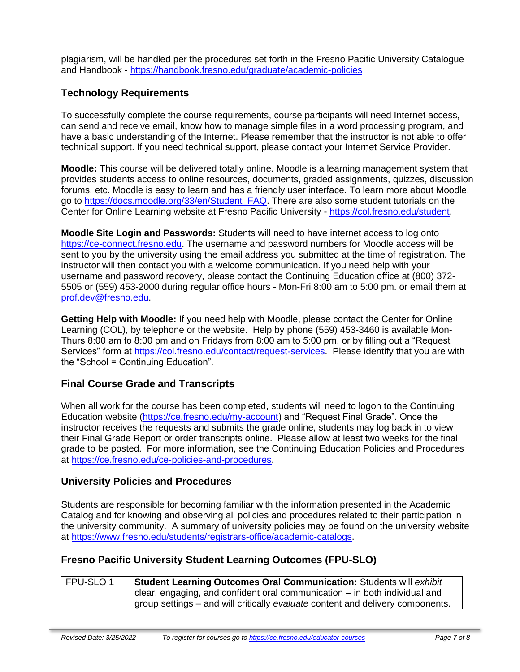plagiarism, will be handled per the procedures set forth in the Fresno Pacific University Catalogue and Handbook - <https://handbook.fresno.edu/graduate/academic-policies>

### **Technology Requirements**

To successfully complete the course requirements, course participants will need Internet access, can send and receive email, know how to manage simple files in a word processing program, and have a basic understanding of the Internet. Please remember that the instructor is not able to offer technical support. If you need technical support, please contact your Internet Service Provider.

**Moodle:** This course will be delivered totally online. Moodle is a learning management system that provides students access to online resources, documents, graded assignments, quizzes, discussion forums, etc. Moodle is easy to learn and has a friendly user interface. To learn more about Moodle, go to [https://docs.moodle.org/33/en/Student\\_FAQ.](https://docs.moodle.org/33/en/Student_FAQ) There are also some student tutorials on the Center for Online Learning website at Fresno Pacific University - [https://col.fresno.edu/student.](https://col.fresno.edu/student)

**Moodle Site Login and Passwords:** Students will need to have internet access to log onto [https://ce-connect.fresno.edu.](https://ce-connect.fresno.edu/) The username and password numbers for Moodle access will be sent to you by the university using the email address you submitted at the time of registration. The instructor will then contact you with a welcome communication. If you need help with your username and password recovery, please contact the Continuing Education office at (800) 372- 5505 or (559) 453-2000 during regular office hours - Mon-Fri 8:00 am to 5:00 pm. or email them at [prof.dev@fresno.edu.](mailto:prof.dev@fresno.edu)

**Getting Help with Moodle:** If you need help with Moodle, please contact the Center for Online Learning (COL), by telephone or the website. Help by phone (559) 453-3460 is available Mon-Thurs 8:00 am to 8:00 pm and on Fridays from 8:00 am to 5:00 pm, or by filling out a "Request Services" form at [https://col.fresno.edu/contact/request-services.](https://col.fresno.edu/contact/request-services) Please identify that you are with the "School = Continuing Education".

### **Final Course Grade and Transcripts**

When all work for the course has been completed, students will need to logon to the Continuing Education website [\(https://ce.fresno.edu/my-account\)](https://ce.fresno.edu/my-account) and "Request Final Grade". Once the instructor receives the requests and submits the grade online, students may log back in to view their Final Grade Report or order transcripts online. Please allow at least two weeks for the final grade to be posted. For more information, see the Continuing Education Policies and Procedures at [https://ce.fresno.edu/ce-policies-and-procedures.](https://ce.fresno.edu/ce-policies-and-procedures)

### **University Policies and Procedures**

Students are responsible for becoming familiar with the information presented in the Academic Catalog and for knowing and observing all policies and procedures related to their participation in the university community. A summary of university policies may be found on the university website at [https://www.fresno.edu/students/registrars-office/academic-catalogs.](https://www.fresno.edu/students/registrars-office/academic-catalogs)

### **Fresno Pacific University Student Learning Outcomes (FPU-SLO)**

| FPU-SLO 1 | <b>Student Learning Outcomes Oral Communication: Students will exhibit</b>     |
|-----------|--------------------------------------------------------------------------------|
|           | clear, engaging, and confident oral communication $-$ in both individual and   |
|           | group settings – and will critically evaluate content and delivery components. |